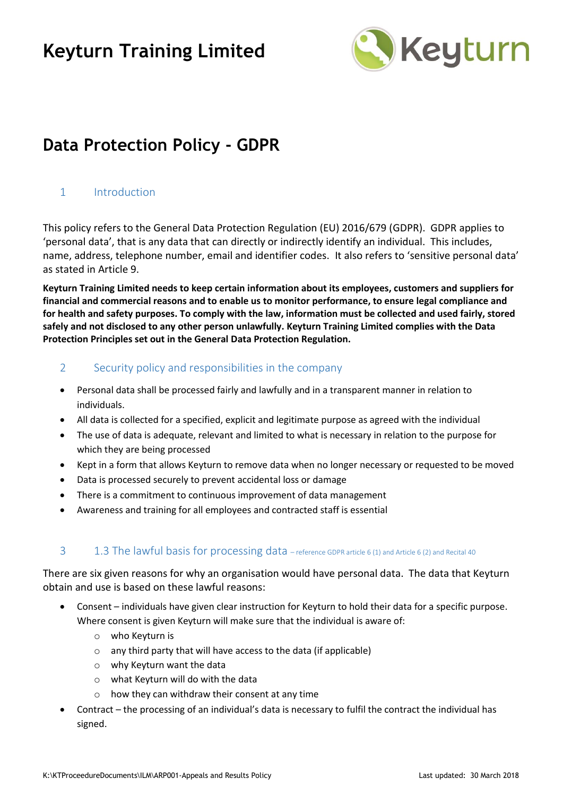

### **Data Protection Policy - GDPR**

#### 1 Introduction

This policy refers to the General Data Protection Regulation (EU) 2016/679 (GDPR). GDPR applies to 'personal data', that is any data that can directly or indirectly identify an individual. This includes, name, address, telephone number, email and identifier codes. It also refers to 'sensitive personal data' as stated in Article 9.

**Keyturn Training Limited needs to keep certain information about its employees, customers and suppliers for financial and commercial reasons and to enable us to monitor performance, to ensure legal compliance and for health and safety purposes. To comply with the law, information must be collected and used fairly, stored safely and not disclosed to any other person unlawfully. Keyturn Training Limited complies with the Data Protection Principles set out in the General Data Protection Regulation.** 

#### 2 Security policy and responsibilities in the company

- Personal data shall be processed fairly and lawfully and in a transparent manner in relation to individuals.
- All data is collected for a specified, explicit and legitimate purpose as agreed with the individual
- The use of data is adequate, relevant and limited to what is necessary in relation to the purpose for which they are being processed
- Kept in a form that allows Keyturn to remove data when no longer necessary or requested to be moved
- Data is processed securely to prevent accidental loss or damage
- There is a commitment to continuous improvement of data management
- Awareness and training for all employees and contracted staff is essential

#### 3 1.3 The lawful basis for processing data – reference GDPR article 6 (1) and Article 6 (2) and Recital 40

There are six given reasons for why an organisation would have personal data. The data that Keyturn obtain and use is based on these lawful reasons:

- Consent individuals have given clear instruction for Keyturn to hold their data for a specific purpose. Where consent is given Keyturn will make sure that the individual is aware of:
	- o who Keyturn is
	- o any third party that will have access to the data (if applicable)
	- o why Keyturn want the data
	- o what Keyturn will do with the data
	- $\circ$  how they can withdraw their consent at any time
- Contract the processing of an individual's data is necessary to fulfil the contract the individual has signed.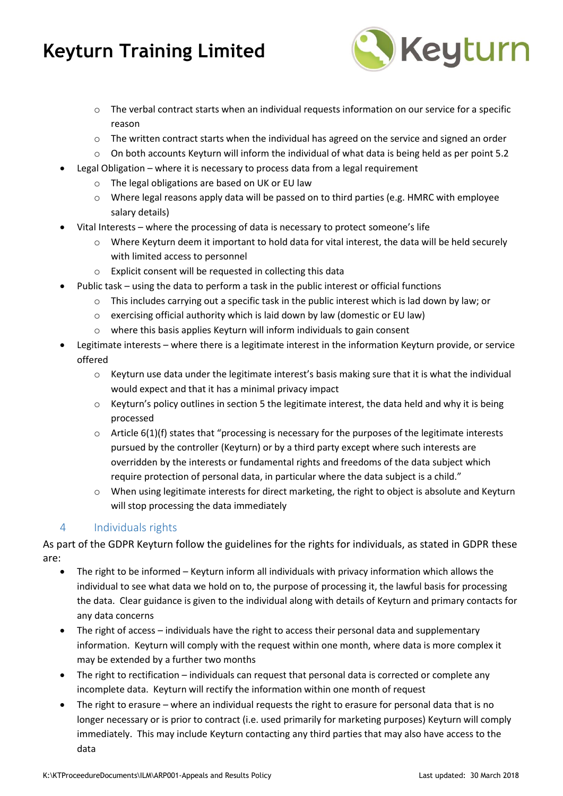

- $\circ$  The verbal contract starts when an individual requests information on our service for a specific reason
- $\circ$  The written contract starts when the individual has agreed on the service and signed an order
- $\circ$  On both accounts Keyturn will inform the individual of what data is being held as per point 5.2
- Legal Obligation where it is necessary to process data from a legal requirement
	- o The legal obligations are based on UK or EU law
	- $\circ$  Where legal reasons apply data will be passed on to third parties (e.g. HMRC with employee salary details)
- Vital Interests where the processing of data is necessary to protect someone's life
	- o Where Keyturn deem it important to hold data for vital interest, the data will be held securely with limited access to personnel
	- o Explicit consent will be requested in collecting this data
- Public task using the data to perform a task in the public interest or official functions
	- $\circ$  This includes carrying out a specific task in the public interest which is lad down by law; or
	- o exercising official authority which is laid down by law (domestic or EU law)
	- o where this basis applies Keyturn will inform individuals to gain consent
- Legitimate interests where there is a legitimate interest in the information Keyturn provide, or service offered
	- $\circ$  Keyturn use data under the legitimate interest's basis making sure that it is what the individual would expect and that it has a minimal privacy impact
	- $\circ$  Keyturn's policy outlines in section 5 the legitimate interest, the data held and why it is being processed
	- $\circ$  Article 6(1)(f) states that "processing is necessary for the purposes of the legitimate interests pursued by the controller (Keyturn) or by a third party except where such interests are overridden by the interests or fundamental rights and freedoms of the data subject which require protection of personal data, in particular where the data subject is a child."
	- o When using legitimate interests for direct marketing, the right to object is absolute and Keyturn will stop processing the data immediately

#### 4 Individuals rights

As part of the GDPR Keyturn follow the guidelines for the rights for individuals, as stated in GDPR these are:

- The right to be informed Keyturn inform all individuals with privacy information which allows the individual to see what data we hold on to, the purpose of processing it, the lawful basis for processing the data. Clear guidance is given to the individual along with details of Keyturn and primary contacts for any data concerns
- The right of access individuals have the right to access their personal data and supplementary information. Keyturn will comply with the request within one month, where data is more complex it may be extended by a further two months
- The right to rectification individuals can request that personal data is corrected or complete any incomplete data. Keyturn will rectify the information within one month of request
- The right to erasure where an individual requests the right to erasure for personal data that is no longer necessary or is prior to contract (i.e. used primarily for marketing purposes) Keyturn will comply immediately. This may include Keyturn contacting any third parties that may also have access to the data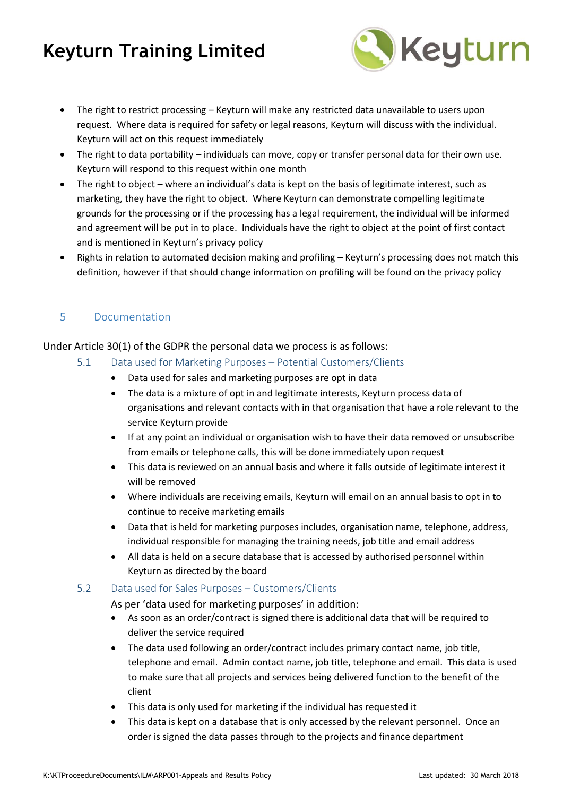

- The right to restrict processing Keyturn will make any restricted data unavailable to users upon request. Where data is required for safety or legal reasons, Keyturn will discuss with the individual. Keyturn will act on this request immediately
- The right to data portability individuals can move, copy or transfer personal data for their own use. Keyturn will respond to this request within one month
- The right to object where an individual's data is kept on the basis of legitimate interest, such as marketing, they have the right to object. Where Keyturn can demonstrate compelling legitimate grounds for the processing or if the processing has a legal requirement, the individual will be informed and agreement will be put in to place. Individuals have the right to object at the point of first contact and is mentioned in Keyturn's privacy policy
- Rights in relation to automated decision making and profiling Keyturn's processing does not match this definition, however if that should change information on profiling will be found on the privacy policy

#### 5 Documentation

#### Under Article 30(1) of the GDPR the personal data we process is as follows:

- 5.1 Data used for Marketing Purposes Potential Customers/Clients
	- Data used for sales and marketing purposes are opt in data
	- The data is a mixture of opt in and legitimate interests, Keyturn process data of organisations and relevant contacts with in that organisation that have a role relevant to the service Keyturn provide
	- If at any point an individual or organisation wish to have their data removed or unsubscribe from emails or telephone calls, this will be done immediately upon request
	- This data is reviewed on an annual basis and where it falls outside of legitimate interest it will be removed
	- Where individuals are receiving emails, Keyturn will email on an annual basis to opt in to continue to receive marketing emails
	- Data that is held for marketing purposes includes, organisation name, telephone, address, individual responsible for managing the training needs, job title and email address
	- All data is held on a secure database that is accessed by authorised personnel within Keyturn as directed by the board

#### 5.2 Data used for Sales Purposes – Customers/Clients

As per 'data used for marketing purposes' in addition:

- As soon as an order/contract is signed there is additional data that will be required to deliver the service required
- The data used following an order/contract includes primary contact name, job title, telephone and email. Admin contact name, job title, telephone and email. This data is used to make sure that all projects and services being delivered function to the benefit of the client
- This data is only used for marketing if the individual has requested it
- This data is kept on a database that is only accessed by the relevant personnel. Once an order is signed the data passes through to the projects and finance department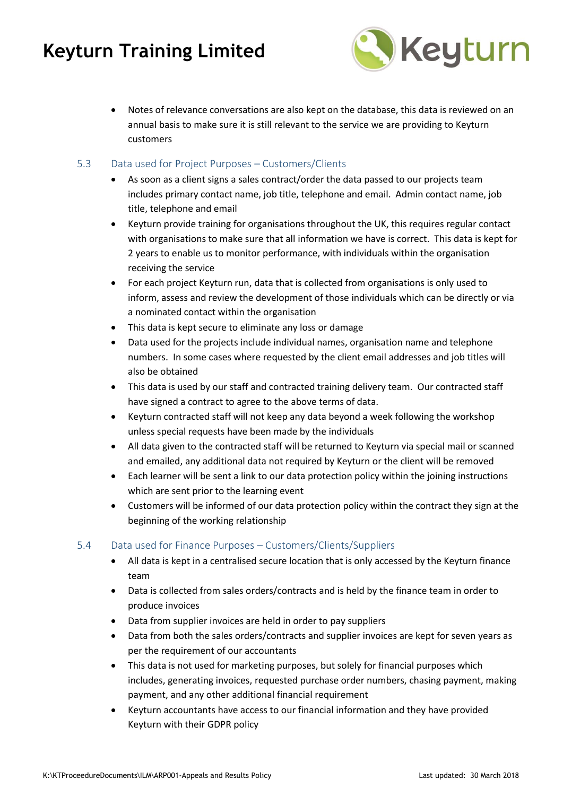

- Notes of relevance conversations are also kept on the database, this data is reviewed on an annual basis to make sure it is still relevant to the service we are providing to Keyturn customers
- 5.3 Data used for Project Purposes Customers/Clients
	- As soon as a client signs a sales contract/order the data passed to our projects team includes primary contact name, job title, telephone and email. Admin contact name, job title, telephone and email
	- Keyturn provide training for organisations throughout the UK, this requires regular contact with organisations to make sure that all information we have is correct. This data is kept for 2 years to enable us to monitor performance, with individuals within the organisation receiving the service
	- For each project Keyturn run, data that is collected from organisations is only used to inform, assess and review the development of those individuals which can be directly or via a nominated contact within the organisation
	- This data is kept secure to eliminate any loss or damage
	- Data used for the projects include individual names, organisation name and telephone numbers. In some cases where requested by the client email addresses and job titles will also be obtained
	- This data is used by our staff and contracted training delivery team. Our contracted staff have signed a contract to agree to the above terms of data.
	- Keyturn contracted staff will not keep any data beyond a week following the workshop unless special requests have been made by the individuals
	- All data given to the contracted staff will be returned to Keyturn via special mail or scanned and emailed, any additional data not required by Keyturn or the client will be removed
	- Each learner will be sent a link to our data protection policy within the joining instructions which are sent prior to the learning event
	- Customers will be informed of our data protection policy within the contract they sign at the beginning of the working relationship

#### 5.4 Data used for Finance Purposes – Customers/Clients/Suppliers

- All data is kept in a centralised secure location that is only accessed by the Keyturn finance team
- Data is collected from sales orders/contracts and is held by the finance team in order to produce invoices
- Data from supplier invoices are held in order to pay suppliers
- Data from both the sales orders/contracts and supplier invoices are kept for seven years as per the requirement of our accountants
- This data is not used for marketing purposes, but solely for financial purposes which includes, generating invoices, requested purchase order numbers, chasing payment, making payment, and any other additional financial requirement
- Keyturn accountants have access to our financial information and they have provided Keyturn with their GDPR policy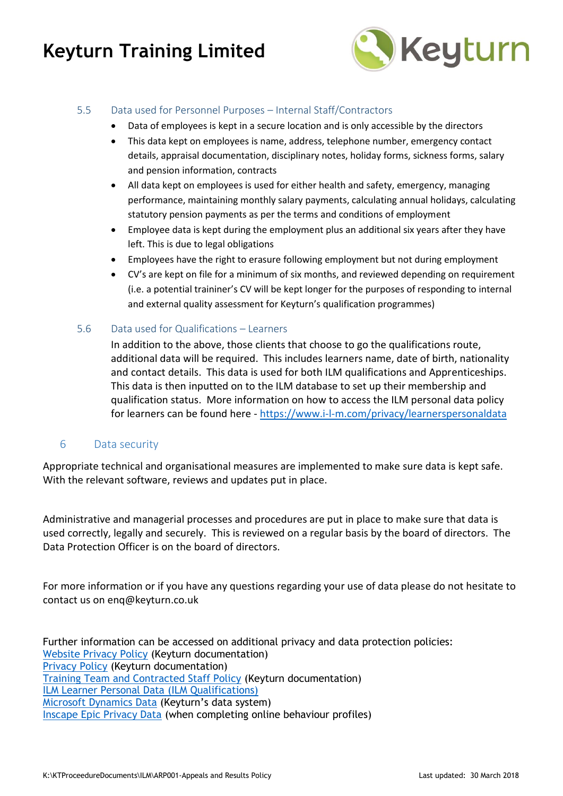

#### 5.5 Data used for Personnel Purposes – Internal Staff/Contractors

- Data of employees is kept in a secure location and is only accessible by the directors
- This data kept on employees is name, address, telephone number, emergency contact details, appraisal documentation, disciplinary notes, holiday forms, sickness forms, salary and pension information, contracts
- All data kept on employees is used for either health and safety, emergency, managing performance, maintaining monthly salary payments, calculating annual holidays, calculating statutory pension payments as per the terms and conditions of employment
- Employee data is kept during the employment plus an additional six years after they have left. This is due to legal obligations
- Employees have the right to erasure following employment but not during employment
- CV's are kept on file for a minimum of six months, and reviewed depending on requirement (i.e. a potential traininer's CV will be kept longer for the purposes of responding to internal and external quality assessment for Keyturn's qualification programmes)
- 5.6 Data used for Qualifications Learners

In addition to the above, those clients that choose to go the qualifications route, additional data will be required. This includes learners name, date of birth, nationality and contact details. This data is used for both ILM qualifications and Apprenticeships. This data is then inputted on to the ILM database to set up their membership and qualification status. More information on how to access the ILM personal data policy for learners can be found here - <https://www.i-l-m.com/privacy/learnerspersonaldata>

#### 6 Data security

Appropriate technical and organisational measures are implemented to make sure data is kept safe. With the relevant software, reviews and updates put in place.

Administrative and managerial processes and procedures are put in place to make sure that data is used correctly, legally and securely. This is reviewed on a regular basis by the board of directors. The Data Protection Officer is on the board of directors.

For more information or if you have any questions regarding your use of data please do not hesitate to contact us on enq@keyturn.co.uk

Further information can be accessed on additional privacy and data protection policies: [Website Privacy Policy](https://keyturntrainingltd.sharepoint.com/:w:/g/documents/EfZ9WN_oKEtEkYWzU2yG6eABJmcKeizSD9FgOBYI1-Blkg?e=k19Fv7) (Keyturn documentation) [Privacy Policy](https://keyturntrainingltd.sharepoint.com/:w:/g/documents/EShCzS1ACwlJjqvE2OkErv8Byw3PWvT3LlIrWrtiJaxEtw?e=zPpUNe) (Keyturn documentation) [Training Team and Contracted Staff Policy](https://keyturntrainingltd.sharepoint.com/:w:/g/documents/EYdgoKWPH61EmFWBllSJfPYBc4u6ZiMKAxtvr_yM3gBDsA?e=9rHv4E) (Keyturn documentation) [ILM Learner Personal Data](https://www.i-l-m.com/privacy/learnerspersonaldata) (ILM Qualifications) [Microsoft Dynamics Data](https://privacy.microsoft.com/en-gb/privacystatement) (Keyturn's data system) [Inscape Epic Privacy Data](https://admin.inscape-epic.com/login.aspx) (when completing online behaviour profiles)